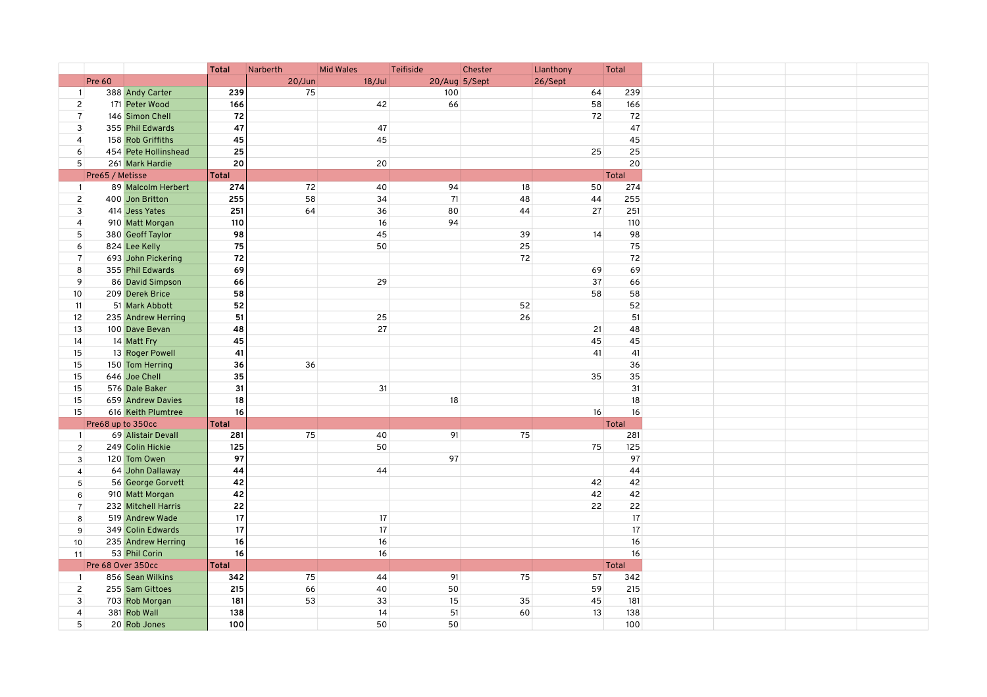| <b>Pre 60</b><br>$20/J$ un<br>18/Jul<br>20/Aug 5/Sept<br>26/Sept<br>388 Andy Carter<br>75<br>100<br>239<br>64<br>239<br>$\mathbf{1}$<br>42<br>58<br>166<br>$\overline{c}$<br>171 Peter Wood<br>166<br>66<br>$\overline{7}$<br>72<br>146 Simon Chell<br>72<br>72<br>47<br>47<br>3<br>355 Phil Edwards<br>47<br>45<br>45<br>45<br>$\overline{4}$<br>158 Rob Griffiths<br>25<br>25<br>25<br>6<br>454 Pete Hollinshead<br>20<br>5<br>20<br>20<br>261 Mark Hardie<br><b>Total</b><br>Total<br>Pre65 / Metisse<br>274<br>72<br>40<br>94<br>18<br>89 Malcolm Herbert<br>50<br>274<br>$\overline{1}$<br>58<br>71<br>$\overline{2}$<br>400 Jon Britton<br>255<br>34<br>48<br>44<br>255<br>251<br>251<br>3<br>64<br>36<br>80<br>44<br>27<br>414 Jess Yates<br>910 Matt Morgan<br>110<br>94<br>$\overline{4}$<br>16<br>110<br>5<br>98<br>45<br>380 Geoff Taylor<br>39<br>14<br>98<br>824 Lee Kelly<br>75<br>50<br>25<br>75<br>6<br>72<br>72<br>72<br>$\overline{7}$<br>693 John Pickering<br>8<br>355 Phil Edwards<br>69<br>69<br>69<br>9<br>86 David Simpson<br>29<br>66<br>66<br>37<br>10<br>209 Derek Brice<br>58<br>58<br>58<br>52<br>52<br>52<br>11<br>51 Mark Abbott<br>51<br>25<br>26<br>51<br>12<br>235 Andrew Herring<br>27<br>13<br>100 Dave Bevan<br>48<br>21<br>48<br>45<br>45<br>45<br>14<br>14 Matt Fry<br>15<br>13 Roger Powell<br>41<br>41<br>41<br>36<br>15<br>150 Tom Herring<br>36<br>36<br>35<br>35<br>35<br>15<br>646 Joe Chell<br>31<br>31<br>31<br>576 Dale Baker<br>15<br>15<br>18<br>18<br>659 Andrew Davies<br>18<br>15<br>16<br>16<br>616 Keith Plumtree<br>16<br>Pre68 up to 350cc<br>Total<br><b>Total</b><br>75<br>75<br>91<br>281<br>69 Alistair Devall<br>281<br>40<br>$\overline{1}$<br>75<br>125<br>50<br>125<br>249 Colin Hickie<br>$\overline{2}$<br>97<br>97<br>120 Tom Owen<br>97<br>$\mathbf{3}$<br>64 John Dallaway<br>44<br>44<br>44<br>$\overline{4}$<br>56 George Gorvett<br>42<br>42<br>42<br>$5\phantom{.0}$<br>42<br>42<br>42<br>910 Matt Morgan<br>6<br>22<br>22<br>232 Mitchell Harris<br>22<br>$\overline{7}$<br>17<br>519 Andrew Wade<br>17<br>17<br>8<br>17<br>17<br>17<br>349 Colin Edwards<br>$\boldsymbol{9}$<br>$16\,$<br>16<br>235 Andrew Herring<br>16<br>10 <sup>1</sup><br>16<br>53 Phil Corin<br>16<br>16<br>11<br>Pre 68 Over 350cc<br>Total<br><b>Total</b><br>856 Sean Wilkins<br>342<br>75<br>44<br>91<br>75<br>57<br>342<br>$\mathbf{1}$<br>$\overline{c}$<br>255 Sam Gittoes<br>215<br>66<br>40<br>50<br>59<br>215<br>$\mathbf{3}$<br>181<br>53<br>33<br>15<br>35<br>45<br>181<br>703 Rob Morgan<br>138<br>14<br>51<br>13<br>138<br>$\overline{4}$<br>381 Rob Wall<br>60<br>20 Rob Jones |   |  | <b>Total</b> | Narberth | <b>Mid Wales</b> | Teifiside | Chester | Llanthony | Total |
|-------------------------------------------------------------------------------------------------------------------------------------------------------------------------------------------------------------------------------------------------------------------------------------------------------------------------------------------------------------------------------------------------------------------------------------------------------------------------------------------------------------------------------------------------------------------------------------------------------------------------------------------------------------------------------------------------------------------------------------------------------------------------------------------------------------------------------------------------------------------------------------------------------------------------------------------------------------------------------------------------------------------------------------------------------------------------------------------------------------------------------------------------------------------------------------------------------------------------------------------------------------------------------------------------------------------------------------------------------------------------------------------------------------------------------------------------------------------------------------------------------------------------------------------------------------------------------------------------------------------------------------------------------------------------------------------------------------------------------------------------------------------------------------------------------------------------------------------------------------------------------------------------------------------------------------------------------------------------------------------------------------------------------------------------------------------------------------------------------------------------------------------------------------------------------------------------------------------------------------------------------------------------------------------------------------------------------------------------------------------------------------------------------------------------------------------------------------------------------------------------------------------------------------------------------------------------------------------------------------------------------------------------|---|--|--------------|----------|------------------|-----------|---------|-----------|-------|
|                                                                                                                                                                                                                                                                                                                                                                                                                                                                                                                                                                                                                                                                                                                                                                                                                                                                                                                                                                                                                                                                                                                                                                                                                                                                                                                                                                                                                                                                                                                                                                                                                                                                                                                                                                                                                                                                                                                                                                                                                                                                                                                                                                                                                                                                                                                                                                                                                                                                                                                                                                                                                                                 |   |  |              |          |                  |           |         |           |       |
|                                                                                                                                                                                                                                                                                                                                                                                                                                                                                                                                                                                                                                                                                                                                                                                                                                                                                                                                                                                                                                                                                                                                                                                                                                                                                                                                                                                                                                                                                                                                                                                                                                                                                                                                                                                                                                                                                                                                                                                                                                                                                                                                                                                                                                                                                                                                                                                                                                                                                                                                                                                                                                                 |   |  |              |          |                  |           |         |           |       |
|                                                                                                                                                                                                                                                                                                                                                                                                                                                                                                                                                                                                                                                                                                                                                                                                                                                                                                                                                                                                                                                                                                                                                                                                                                                                                                                                                                                                                                                                                                                                                                                                                                                                                                                                                                                                                                                                                                                                                                                                                                                                                                                                                                                                                                                                                                                                                                                                                                                                                                                                                                                                                                                 |   |  |              |          |                  |           |         |           |       |
|                                                                                                                                                                                                                                                                                                                                                                                                                                                                                                                                                                                                                                                                                                                                                                                                                                                                                                                                                                                                                                                                                                                                                                                                                                                                                                                                                                                                                                                                                                                                                                                                                                                                                                                                                                                                                                                                                                                                                                                                                                                                                                                                                                                                                                                                                                                                                                                                                                                                                                                                                                                                                                                 |   |  |              |          |                  |           |         |           |       |
|                                                                                                                                                                                                                                                                                                                                                                                                                                                                                                                                                                                                                                                                                                                                                                                                                                                                                                                                                                                                                                                                                                                                                                                                                                                                                                                                                                                                                                                                                                                                                                                                                                                                                                                                                                                                                                                                                                                                                                                                                                                                                                                                                                                                                                                                                                                                                                                                                                                                                                                                                                                                                                                 |   |  |              |          |                  |           |         |           |       |
|                                                                                                                                                                                                                                                                                                                                                                                                                                                                                                                                                                                                                                                                                                                                                                                                                                                                                                                                                                                                                                                                                                                                                                                                                                                                                                                                                                                                                                                                                                                                                                                                                                                                                                                                                                                                                                                                                                                                                                                                                                                                                                                                                                                                                                                                                                                                                                                                                                                                                                                                                                                                                                                 |   |  |              |          |                  |           |         |           |       |
|                                                                                                                                                                                                                                                                                                                                                                                                                                                                                                                                                                                                                                                                                                                                                                                                                                                                                                                                                                                                                                                                                                                                                                                                                                                                                                                                                                                                                                                                                                                                                                                                                                                                                                                                                                                                                                                                                                                                                                                                                                                                                                                                                                                                                                                                                                                                                                                                                                                                                                                                                                                                                                                 |   |  |              |          |                  |           |         |           |       |
|                                                                                                                                                                                                                                                                                                                                                                                                                                                                                                                                                                                                                                                                                                                                                                                                                                                                                                                                                                                                                                                                                                                                                                                                                                                                                                                                                                                                                                                                                                                                                                                                                                                                                                                                                                                                                                                                                                                                                                                                                                                                                                                                                                                                                                                                                                                                                                                                                                                                                                                                                                                                                                                 |   |  |              |          |                  |           |         |           |       |
|                                                                                                                                                                                                                                                                                                                                                                                                                                                                                                                                                                                                                                                                                                                                                                                                                                                                                                                                                                                                                                                                                                                                                                                                                                                                                                                                                                                                                                                                                                                                                                                                                                                                                                                                                                                                                                                                                                                                                                                                                                                                                                                                                                                                                                                                                                                                                                                                                                                                                                                                                                                                                                                 |   |  |              |          |                  |           |         |           |       |
|                                                                                                                                                                                                                                                                                                                                                                                                                                                                                                                                                                                                                                                                                                                                                                                                                                                                                                                                                                                                                                                                                                                                                                                                                                                                                                                                                                                                                                                                                                                                                                                                                                                                                                                                                                                                                                                                                                                                                                                                                                                                                                                                                                                                                                                                                                                                                                                                                                                                                                                                                                                                                                                 |   |  |              |          |                  |           |         |           |       |
|                                                                                                                                                                                                                                                                                                                                                                                                                                                                                                                                                                                                                                                                                                                                                                                                                                                                                                                                                                                                                                                                                                                                                                                                                                                                                                                                                                                                                                                                                                                                                                                                                                                                                                                                                                                                                                                                                                                                                                                                                                                                                                                                                                                                                                                                                                                                                                                                                                                                                                                                                                                                                                                 |   |  |              |          |                  |           |         |           |       |
|                                                                                                                                                                                                                                                                                                                                                                                                                                                                                                                                                                                                                                                                                                                                                                                                                                                                                                                                                                                                                                                                                                                                                                                                                                                                                                                                                                                                                                                                                                                                                                                                                                                                                                                                                                                                                                                                                                                                                                                                                                                                                                                                                                                                                                                                                                                                                                                                                                                                                                                                                                                                                                                 |   |  |              |          |                  |           |         |           |       |
|                                                                                                                                                                                                                                                                                                                                                                                                                                                                                                                                                                                                                                                                                                                                                                                                                                                                                                                                                                                                                                                                                                                                                                                                                                                                                                                                                                                                                                                                                                                                                                                                                                                                                                                                                                                                                                                                                                                                                                                                                                                                                                                                                                                                                                                                                                                                                                                                                                                                                                                                                                                                                                                 |   |  |              |          |                  |           |         |           |       |
|                                                                                                                                                                                                                                                                                                                                                                                                                                                                                                                                                                                                                                                                                                                                                                                                                                                                                                                                                                                                                                                                                                                                                                                                                                                                                                                                                                                                                                                                                                                                                                                                                                                                                                                                                                                                                                                                                                                                                                                                                                                                                                                                                                                                                                                                                                                                                                                                                                                                                                                                                                                                                                                 |   |  |              |          |                  |           |         |           |       |
|                                                                                                                                                                                                                                                                                                                                                                                                                                                                                                                                                                                                                                                                                                                                                                                                                                                                                                                                                                                                                                                                                                                                                                                                                                                                                                                                                                                                                                                                                                                                                                                                                                                                                                                                                                                                                                                                                                                                                                                                                                                                                                                                                                                                                                                                                                                                                                                                                                                                                                                                                                                                                                                 |   |  |              |          |                  |           |         |           |       |
|                                                                                                                                                                                                                                                                                                                                                                                                                                                                                                                                                                                                                                                                                                                                                                                                                                                                                                                                                                                                                                                                                                                                                                                                                                                                                                                                                                                                                                                                                                                                                                                                                                                                                                                                                                                                                                                                                                                                                                                                                                                                                                                                                                                                                                                                                                                                                                                                                                                                                                                                                                                                                                                 |   |  |              |          |                  |           |         |           |       |
|                                                                                                                                                                                                                                                                                                                                                                                                                                                                                                                                                                                                                                                                                                                                                                                                                                                                                                                                                                                                                                                                                                                                                                                                                                                                                                                                                                                                                                                                                                                                                                                                                                                                                                                                                                                                                                                                                                                                                                                                                                                                                                                                                                                                                                                                                                                                                                                                                                                                                                                                                                                                                                                 |   |  |              |          |                  |           |         |           |       |
|                                                                                                                                                                                                                                                                                                                                                                                                                                                                                                                                                                                                                                                                                                                                                                                                                                                                                                                                                                                                                                                                                                                                                                                                                                                                                                                                                                                                                                                                                                                                                                                                                                                                                                                                                                                                                                                                                                                                                                                                                                                                                                                                                                                                                                                                                                                                                                                                                                                                                                                                                                                                                                                 |   |  |              |          |                  |           |         |           |       |
|                                                                                                                                                                                                                                                                                                                                                                                                                                                                                                                                                                                                                                                                                                                                                                                                                                                                                                                                                                                                                                                                                                                                                                                                                                                                                                                                                                                                                                                                                                                                                                                                                                                                                                                                                                                                                                                                                                                                                                                                                                                                                                                                                                                                                                                                                                                                                                                                                                                                                                                                                                                                                                                 |   |  |              |          |                  |           |         |           |       |
|                                                                                                                                                                                                                                                                                                                                                                                                                                                                                                                                                                                                                                                                                                                                                                                                                                                                                                                                                                                                                                                                                                                                                                                                                                                                                                                                                                                                                                                                                                                                                                                                                                                                                                                                                                                                                                                                                                                                                                                                                                                                                                                                                                                                                                                                                                                                                                                                                                                                                                                                                                                                                                                 |   |  |              |          |                  |           |         |           |       |
|                                                                                                                                                                                                                                                                                                                                                                                                                                                                                                                                                                                                                                                                                                                                                                                                                                                                                                                                                                                                                                                                                                                                                                                                                                                                                                                                                                                                                                                                                                                                                                                                                                                                                                                                                                                                                                                                                                                                                                                                                                                                                                                                                                                                                                                                                                                                                                                                                                                                                                                                                                                                                                                 |   |  |              |          |                  |           |         |           |       |
|                                                                                                                                                                                                                                                                                                                                                                                                                                                                                                                                                                                                                                                                                                                                                                                                                                                                                                                                                                                                                                                                                                                                                                                                                                                                                                                                                                                                                                                                                                                                                                                                                                                                                                                                                                                                                                                                                                                                                                                                                                                                                                                                                                                                                                                                                                                                                                                                                                                                                                                                                                                                                                                 |   |  |              |          |                  |           |         |           |       |
|                                                                                                                                                                                                                                                                                                                                                                                                                                                                                                                                                                                                                                                                                                                                                                                                                                                                                                                                                                                                                                                                                                                                                                                                                                                                                                                                                                                                                                                                                                                                                                                                                                                                                                                                                                                                                                                                                                                                                                                                                                                                                                                                                                                                                                                                                                                                                                                                                                                                                                                                                                                                                                                 |   |  |              |          |                  |           |         |           |       |
|                                                                                                                                                                                                                                                                                                                                                                                                                                                                                                                                                                                                                                                                                                                                                                                                                                                                                                                                                                                                                                                                                                                                                                                                                                                                                                                                                                                                                                                                                                                                                                                                                                                                                                                                                                                                                                                                                                                                                                                                                                                                                                                                                                                                                                                                                                                                                                                                                                                                                                                                                                                                                                                 |   |  |              |          |                  |           |         |           |       |
|                                                                                                                                                                                                                                                                                                                                                                                                                                                                                                                                                                                                                                                                                                                                                                                                                                                                                                                                                                                                                                                                                                                                                                                                                                                                                                                                                                                                                                                                                                                                                                                                                                                                                                                                                                                                                                                                                                                                                                                                                                                                                                                                                                                                                                                                                                                                                                                                                                                                                                                                                                                                                                                 |   |  |              |          |                  |           |         |           |       |
|                                                                                                                                                                                                                                                                                                                                                                                                                                                                                                                                                                                                                                                                                                                                                                                                                                                                                                                                                                                                                                                                                                                                                                                                                                                                                                                                                                                                                                                                                                                                                                                                                                                                                                                                                                                                                                                                                                                                                                                                                                                                                                                                                                                                                                                                                                                                                                                                                                                                                                                                                                                                                                                 |   |  |              |          |                  |           |         |           |       |
|                                                                                                                                                                                                                                                                                                                                                                                                                                                                                                                                                                                                                                                                                                                                                                                                                                                                                                                                                                                                                                                                                                                                                                                                                                                                                                                                                                                                                                                                                                                                                                                                                                                                                                                                                                                                                                                                                                                                                                                                                                                                                                                                                                                                                                                                                                                                                                                                                                                                                                                                                                                                                                                 |   |  |              |          |                  |           |         |           |       |
|                                                                                                                                                                                                                                                                                                                                                                                                                                                                                                                                                                                                                                                                                                                                                                                                                                                                                                                                                                                                                                                                                                                                                                                                                                                                                                                                                                                                                                                                                                                                                                                                                                                                                                                                                                                                                                                                                                                                                                                                                                                                                                                                                                                                                                                                                                                                                                                                                                                                                                                                                                                                                                                 |   |  |              |          |                  |           |         |           |       |
|                                                                                                                                                                                                                                                                                                                                                                                                                                                                                                                                                                                                                                                                                                                                                                                                                                                                                                                                                                                                                                                                                                                                                                                                                                                                                                                                                                                                                                                                                                                                                                                                                                                                                                                                                                                                                                                                                                                                                                                                                                                                                                                                                                                                                                                                                                                                                                                                                                                                                                                                                                                                                                                 |   |  |              |          |                  |           |         |           |       |
|                                                                                                                                                                                                                                                                                                                                                                                                                                                                                                                                                                                                                                                                                                                                                                                                                                                                                                                                                                                                                                                                                                                                                                                                                                                                                                                                                                                                                                                                                                                                                                                                                                                                                                                                                                                                                                                                                                                                                                                                                                                                                                                                                                                                                                                                                                                                                                                                                                                                                                                                                                                                                                                 |   |  |              |          |                  |           |         |           |       |
|                                                                                                                                                                                                                                                                                                                                                                                                                                                                                                                                                                                                                                                                                                                                                                                                                                                                                                                                                                                                                                                                                                                                                                                                                                                                                                                                                                                                                                                                                                                                                                                                                                                                                                                                                                                                                                                                                                                                                                                                                                                                                                                                                                                                                                                                                                                                                                                                                                                                                                                                                                                                                                                 |   |  |              |          |                  |           |         |           |       |
|                                                                                                                                                                                                                                                                                                                                                                                                                                                                                                                                                                                                                                                                                                                                                                                                                                                                                                                                                                                                                                                                                                                                                                                                                                                                                                                                                                                                                                                                                                                                                                                                                                                                                                                                                                                                                                                                                                                                                                                                                                                                                                                                                                                                                                                                                                                                                                                                                                                                                                                                                                                                                                                 |   |  |              |          |                  |           |         |           |       |
|                                                                                                                                                                                                                                                                                                                                                                                                                                                                                                                                                                                                                                                                                                                                                                                                                                                                                                                                                                                                                                                                                                                                                                                                                                                                                                                                                                                                                                                                                                                                                                                                                                                                                                                                                                                                                                                                                                                                                                                                                                                                                                                                                                                                                                                                                                                                                                                                                                                                                                                                                                                                                                                 |   |  |              |          |                  |           |         |           |       |
|                                                                                                                                                                                                                                                                                                                                                                                                                                                                                                                                                                                                                                                                                                                                                                                                                                                                                                                                                                                                                                                                                                                                                                                                                                                                                                                                                                                                                                                                                                                                                                                                                                                                                                                                                                                                                                                                                                                                                                                                                                                                                                                                                                                                                                                                                                                                                                                                                                                                                                                                                                                                                                                 |   |  |              |          |                  |           |         |           |       |
|                                                                                                                                                                                                                                                                                                                                                                                                                                                                                                                                                                                                                                                                                                                                                                                                                                                                                                                                                                                                                                                                                                                                                                                                                                                                                                                                                                                                                                                                                                                                                                                                                                                                                                                                                                                                                                                                                                                                                                                                                                                                                                                                                                                                                                                                                                                                                                                                                                                                                                                                                                                                                                                 |   |  |              |          |                  |           |         |           |       |
|                                                                                                                                                                                                                                                                                                                                                                                                                                                                                                                                                                                                                                                                                                                                                                                                                                                                                                                                                                                                                                                                                                                                                                                                                                                                                                                                                                                                                                                                                                                                                                                                                                                                                                                                                                                                                                                                                                                                                                                                                                                                                                                                                                                                                                                                                                                                                                                                                                                                                                                                                                                                                                                 |   |  |              |          |                  |           |         |           |       |
|                                                                                                                                                                                                                                                                                                                                                                                                                                                                                                                                                                                                                                                                                                                                                                                                                                                                                                                                                                                                                                                                                                                                                                                                                                                                                                                                                                                                                                                                                                                                                                                                                                                                                                                                                                                                                                                                                                                                                                                                                                                                                                                                                                                                                                                                                                                                                                                                                                                                                                                                                                                                                                                 |   |  |              |          |                  |           |         |           |       |
|                                                                                                                                                                                                                                                                                                                                                                                                                                                                                                                                                                                                                                                                                                                                                                                                                                                                                                                                                                                                                                                                                                                                                                                                                                                                                                                                                                                                                                                                                                                                                                                                                                                                                                                                                                                                                                                                                                                                                                                                                                                                                                                                                                                                                                                                                                                                                                                                                                                                                                                                                                                                                                                 |   |  |              |          |                  |           |         |           |       |
|                                                                                                                                                                                                                                                                                                                                                                                                                                                                                                                                                                                                                                                                                                                                                                                                                                                                                                                                                                                                                                                                                                                                                                                                                                                                                                                                                                                                                                                                                                                                                                                                                                                                                                                                                                                                                                                                                                                                                                                                                                                                                                                                                                                                                                                                                                                                                                                                                                                                                                                                                                                                                                                 |   |  |              |          |                  |           |         |           |       |
|                                                                                                                                                                                                                                                                                                                                                                                                                                                                                                                                                                                                                                                                                                                                                                                                                                                                                                                                                                                                                                                                                                                                                                                                                                                                                                                                                                                                                                                                                                                                                                                                                                                                                                                                                                                                                                                                                                                                                                                                                                                                                                                                                                                                                                                                                                                                                                                                                                                                                                                                                                                                                                                 |   |  |              |          |                  |           |         |           |       |
|                                                                                                                                                                                                                                                                                                                                                                                                                                                                                                                                                                                                                                                                                                                                                                                                                                                                                                                                                                                                                                                                                                                                                                                                                                                                                                                                                                                                                                                                                                                                                                                                                                                                                                                                                                                                                                                                                                                                                                                                                                                                                                                                                                                                                                                                                                                                                                                                                                                                                                                                                                                                                                                 |   |  |              |          |                  |           |         |           |       |
|                                                                                                                                                                                                                                                                                                                                                                                                                                                                                                                                                                                                                                                                                                                                                                                                                                                                                                                                                                                                                                                                                                                                                                                                                                                                                                                                                                                                                                                                                                                                                                                                                                                                                                                                                                                                                                                                                                                                                                                                                                                                                                                                                                                                                                                                                                                                                                                                                                                                                                                                                                                                                                                 |   |  |              |          |                  |           |         |           |       |
|                                                                                                                                                                                                                                                                                                                                                                                                                                                                                                                                                                                                                                                                                                                                                                                                                                                                                                                                                                                                                                                                                                                                                                                                                                                                                                                                                                                                                                                                                                                                                                                                                                                                                                                                                                                                                                                                                                                                                                                                                                                                                                                                                                                                                                                                                                                                                                                                                                                                                                                                                                                                                                                 |   |  |              |          |                  |           |         |           |       |
|                                                                                                                                                                                                                                                                                                                                                                                                                                                                                                                                                                                                                                                                                                                                                                                                                                                                                                                                                                                                                                                                                                                                                                                                                                                                                                                                                                                                                                                                                                                                                                                                                                                                                                                                                                                                                                                                                                                                                                                                                                                                                                                                                                                                                                                                                                                                                                                                                                                                                                                                                                                                                                                 |   |  |              |          |                  |           |         |           |       |
|                                                                                                                                                                                                                                                                                                                                                                                                                                                                                                                                                                                                                                                                                                                                                                                                                                                                                                                                                                                                                                                                                                                                                                                                                                                                                                                                                                                                                                                                                                                                                                                                                                                                                                                                                                                                                                                                                                                                                                                                                                                                                                                                                                                                                                                                                                                                                                                                                                                                                                                                                                                                                                                 |   |  |              |          |                  |           |         |           |       |
|                                                                                                                                                                                                                                                                                                                                                                                                                                                                                                                                                                                                                                                                                                                                                                                                                                                                                                                                                                                                                                                                                                                                                                                                                                                                                                                                                                                                                                                                                                                                                                                                                                                                                                                                                                                                                                                                                                                                                                                                                                                                                                                                                                                                                                                                                                                                                                                                                                                                                                                                                                                                                                                 |   |  |              |          |                  |           |         |           |       |
|                                                                                                                                                                                                                                                                                                                                                                                                                                                                                                                                                                                                                                                                                                                                                                                                                                                                                                                                                                                                                                                                                                                                                                                                                                                                                                                                                                                                                                                                                                                                                                                                                                                                                                                                                                                                                                                                                                                                                                                                                                                                                                                                                                                                                                                                                                                                                                                                                                                                                                                                                                                                                                                 |   |  |              |          |                  |           |         |           |       |
|                                                                                                                                                                                                                                                                                                                                                                                                                                                                                                                                                                                                                                                                                                                                                                                                                                                                                                                                                                                                                                                                                                                                                                                                                                                                                                                                                                                                                                                                                                                                                                                                                                                                                                                                                                                                                                                                                                                                                                                                                                                                                                                                                                                                                                                                                                                                                                                                                                                                                                                                                                                                                                                 | 5 |  | 100          |          | 50               | 50        |         |           | 100   |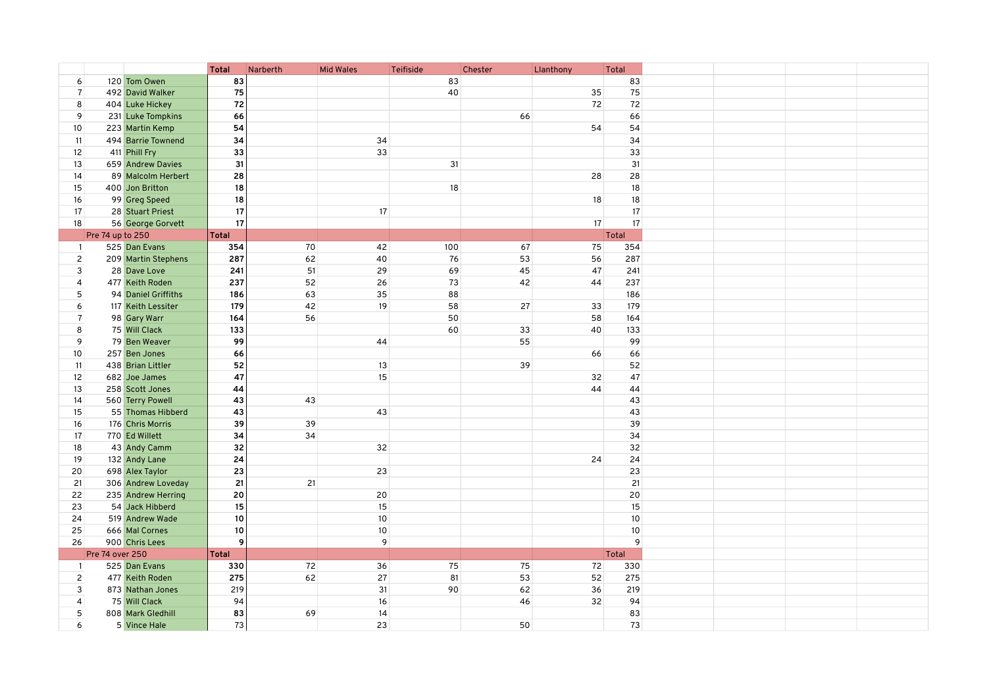| 120 Tom Owen<br>83<br>83<br>83<br>6<br>75<br>40<br>75<br>$\overline{7}$<br>492 David Walker<br>35<br>72<br>72<br>8<br>404 Luke Hickey<br>72<br>9<br>66<br>231 Luke Tompkins<br>66<br>66<br>54<br>54<br>54<br>10<br>223 Martin Kemp<br>494 Barrie Townend<br>34<br>34<br>34<br>11<br>33<br>33<br>33<br>12<br>411 Phill Fry<br>31<br>31<br>31<br>13<br>659 Andrew Davies<br>28<br>89 Malcolm Herbert<br>28<br>28<br>14<br>18<br>18<br>18<br>15<br>400 Jon Britton<br>18<br>18<br>18<br>16<br>99 Greg Speed<br>17<br>17<br>17<br>17<br>28 Stuart Priest<br>17<br>17<br>17<br>18<br>56 George Gorvett<br>Pre 74 up to 250<br><b>Total</b><br>Total<br>525 Dan Evans<br>70<br>42<br>100<br>67<br>75<br>354<br>354<br>$\overline{1}$<br>$\overline{c}$<br>209 Martin Stephens<br>287<br>62<br>40<br>76<br>53<br>56<br>287<br>51<br>47<br>3<br>241<br>29<br>69<br>45<br>241<br>28 Dave Love<br>477 Keith Roden<br>237<br>52<br>26<br>73<br>42<br>44<br>237<br>$\overline{4}$<br>94 Daniel Griffiths<br>63<br>35<br>88<br>5<br>186<br>186<br>42<br>19<br>6<br>179<br>58<br>27<br>33<br>179<br>117 Keith Lessiter<br>$\overline{7}$<br>56<br>50<br>98 Gary Warr<br>164<br>58<br>164<br>8<br>75 Will Clack<br>133<br>60<br>33<br>40<br>133<br>99<br>99<br>9<br>79 Ben Weaver<br>55<br>44<br>10<br>257 Ben Jones<br>66<br>66<br>66<br>52<br>13<br>52<br>438 Brian Littler<br>39<br>11<br>682 Joe James<br>47<br>15<br>32<br>47<br>12<br>44<br>258 Scott Jones<br>44<br>13<br>44<br>560 Terry Powell<br>43<br>43<br>43<br>14<br>43<br>43<br>15<br>55 Thomas Hibberd<br>43<br>39<br>39<br>39<br>16<br>176 Chris Morris<br>34<br>34<br>17<br>770 Ed Willett<br>34<br>32<br>32<br>18<br>43 Andy Camm<br>32<br>24<br>19<br>132 Andy Lane<br>24<br>24<br>23<br>23<br>23<br>20<br>698 Alex Taylor<br>21<br>21<br>21<br>21<br>306 Andrew Loveday<br>20<br>20<br>235 Andrew Herring<br>20<br>22<br>54 Jack Hibberd<br>15<br>15<br>15<br>23<br>$10\,$<br>$10\,$<br>10<br>24<br>519 Andrew Wade<br>$10\,$<br>10<br>10<br>25<br>666 Mal Cornes<br>$\overline{9}$<br>9<br>$\mathsf{g}$<br>26<br>900 Chris Lees<br><b>Pre 74 over 250</b><br><b>Total</b><br>Total<br>72<br>75<br>525 Dan Evans<br>330<br>36<br>75<br>72<br>330<br>$\overline{1}$<br>62<br>$\overline{c}$<br>275<br>27<br>81<br>53<br>52<br>275<br>477 Keith Roden<br>31<br>90<br>62<br>36<br>3<br>873 Nathan Jones<br>219<br>219<br>16<br>32<br>94<br>$\overline{4}$<br>75 Will Clack<br>94<br>46<br>83<br>14<br>83<br>5<br>808 Mark Gledhill<br>69<br>50<br>5 Vince Hale |   |  | <b>Total</b> | Narberth | <b>Mid Wales</b> | Teifiside | Chester | Llanthony | Total |  |  |
|-------------------------------------------------------------------------------------------------------------------------------------------------------------------------------------------------------------------------------------------------------------------------------------------------------------------------------------------------------------------------------------------------------------------------------------------------------------------------------------------------------------------------------------------------------------------------------------------------------------------------------------------------------------------------------------------------------------------------------------------------------------------------------------------------------------------------------------------------------------------------------------------------------------------------------------------------------------------------------------------------------------------------------------------------------------------------------------------------------------------------------------------------------------------------------------------------------------------------------------------------------------------------------------------------------------------------------------------------------------------------------------------------------------------------------------------------------------------------------------------------------------------------------------------------------------------------------------------------------------------------------------------------------------------------------------------------------------------------------------------------------------------------------------------------------------------------------------------------------------------------------------------------------------------------------------------------------------------------------------------------------------------------------------------------------------------------------------------------------------------------------------------------------------------------------------------------------------------------------------------------------------------------------------------------------------------------------------------------------------------------------------------------------------------------------------------------------------------------------------------------------------------|---|--|--------------|----------|------------------|-----------|---------|-----------|-------|--|--|
|                                                                                                                                                                                                                                                                                                                                                                                                                                                                                                                                                                                                                                                                                                                                                                                                                                                                                                                                                                                                                                                                                                                                                                                                                                                                                                                                                                                                                                                                                                                                                                                                                                                                                                                                                                                                                                                                                                                                                                                                                                                                                                                                                                                                                                                                                                                                                                                                                                                                                                                   |   |  |              |          |                  |           |         |           |       |  |  |
|                                                                                                                                                                                                                                                                                                                                                                                                                                                                                                                                                                                                                                                                                                                                                                                                                                                                                                                                                                                                                                                                                                                                                                                                                                                                                                                                                                                                                                                                                                                                                                                                                                                                                                                                                                                                                                                                                                                                                                                                                                                                                                                                                                                                                                                                                                                                                                                                                                                                                                                   |   |  |              |          |                  |           |         |           |       |  |  |
|                                                                                                                                                                                                                                                                                                                                                                                                                                                                                                                                                                                                                                                                                                                                                                                                                                                                                                                                                                                                                                                                                                                                                                                                                                                                                                                                                                                                                                                                                                                                                                                                                                                                                                                                                                                                                                                                                                                                                                                                                                                                                                                                                                                                                                                                                                                                                                                                                                                                                                                   |   |  |              |          |                  |           |         |           |       |  |  |
|                                                                                                                                                                                                                                                                                                                                                                                                                                                                                                                                                                                                                                                                                                                                                                                                                                                                                                                                                                                                                                                                                                                                                                                                                                                                                                                                                                                                                                                                                                                                                                                                                                                                                                                                                                                                                                                                                                                                                                                                                                                                                                                                                                                                                                                                                                                                                                                                                                                                                                                   |   |  |              |          |                  |           |         |           |       |  |  |
|                                                                                                                                                                                                                                                                                                                                                                                                                                                                                                                                                                                                                                                                                                                                                                                                                                                                                                                                                                                                                                                                                                                                                                                                                                                                                                                                                                                                                                                                                                                                                                                                                                                                                                                                                                                                                                                                                                                                                                                                                                                                                                                                                                                                                                                                                                                                                                                                                                                                                                                   |   |  |              |          |                  |           |         |           |       |  |  |
|                                                                                                                                                                                                                                                                                                                                                                                                                                                                                                                                                                                                                                                                                                                                                                                                                                                                                                                                                                                                                                                                                                                                                                                                                                                                                                                                                                                                                                                                                                                                                                                                                                                                                                                                                                                                                                                                                                                                                                                                                                                                                                                                                                                                                                                                                                                                                                                                                                                                                                                   |   |  |              |          |                  |           |         |           |       |  |  |
|                                                                                                                                                                                                                                                                                                                                                                                                                                                                                                                                                                                                                                                                                                                                                                                                                                                                                                                                                                                                                                                                                                                                                                                                                                                                                                                                                                                                                                                                                                                                                                                                                                                                                                                                                                                                                                                                                                                                                                                                                                                                                                                                                                                                                                                                                                                                                                                                                                                                                                                   |   |  |              |          |                  |           |         |           |       |  |  |
|                                                                                                                                                                                                                                                                                                                                                                                                                                                                                                                                                                                                                                                                                                                                                                                                                                                                                                                                                                                                                                                                                                                                                                                                                                                                                                                                                                                                                                                                                                                                                                                                                                                                                                                                                                                                                                                                                                                                                                                                                                                                                                                                                                                                                                                                                                                                                                                                                                                                                                                   |   |  |              |          |                  |           |         |           |       |  |  |
|                                                                                                                                                                                                                                                                                                                                                                                                                                                                                                                                                                                                                                                                                                                                                                                                                                                                                                                                                                                                                                                                                                                                                                                                                                                                                                                                                                                                                                                                                                                                                                                                                                                                                                                                                                                                                                                                                                                                                                                                                                                                                                                                                                                                                                                                                                                                                                                                                                                                                                                   |   |  |              |          |                  |           |         |           |       |  |  |
|                                                                                                                                                                                                                                                                                                                                                                                                                                                                                                                                                                                                                                                                                                                                                                                                                                                                                                                                                                                                                                                                                                                                                                                                                                                                                                                                                                                                                                                                                                                                                                                                                                                                                                                                                                                                                                                                                                                                                                                                                                                                                                                                                                                                                                                                                                                                                                                                                                                                                                                   |   |  |              |          |                  |           |         |           |       |  |  |
|                                                                                                                                                                                                                                                                                                                                                                                                                                                                                                                                                                                                                                                                                                                                                                                                                                                                                                                                                                                                                                                                                                                                                                                                                                                                                                                                                                                                                                                                                                                                                                                                                                                                                                                                                                                                                                                                                                                                                                                                                                                                                                                                                                                                                                                                                                                                                                                                                                                                                                                   |   |  |              |          |                  |           |         |           |       |  |  |
|                                                                                                                                                                                                                                                                                                                                                                                                                                                                                                                                                                                                                                                                                                                                                                                                                                                                                                                                                                                                                                                                                                                                                                                                                                                                                                                                                                                                                                                                                                                                                                                                                                                                                                                                                                                                                                                                                                                                                                                                                                                                                                                                                                                                                                                                                                                                                                                                                                                                                                                   |   |  |              |          |                  |           |         |           |       |  |  |
|                                                                                                                                                                                                                                                                                                                                                                                                                                                                                                                                                                                                                                                                                                                                                                                                                                                                                                                                                                                                                                                                                                                                                                                                                                                                                                                                                                                                                                                                                                                                                                                                                                                                                                                                                                                                                                                                                                                                                                                                                                                                                                                                                                                                                                                                                                                                                                                                                                                                                                                   |   |  |              |          |                  |           |         |           |       |  |  |
|                                                                                                                                                                                                                                                                                                                                                                                                                                                                                                                                                                                                                                                                                                                                                                                                                                                                                                                                                                                                                                                                                                                                                                                                                                                                                                                                                                                                                                                                                                                                                                                                                                                                                                                                                                                                                                                                                                                                                                                                                                                                                                                                                                                                                                                                                                                                                                                                                                                                                                                   |   |  |              |          |                  |           |         |           |       |  |  |
|                                                                                                                                                                                                                                                                                                                                                                                                                                                                                                                                                                                                                                                                                                                                                                                                                                                                                                                                                                                                                                                                                                                                                                                                                                                                                                                                                                                                                                                                                                                                                                                                                                                                                                                                                                                                                                                                                                                                                                                                                                                                                                                                                                                                                                                                                                                                                                                                                                                                                                                   |   |  |              |          |                  |           |         |           |       |  |  |
|                                                                                                                                                                                                                                                                                                                                                                                                                                                                                                                                                                                                                                                                                                                                                                                                                                                                                                                                                                                                                                                                                                                                                                                                                                                                                                                                                                                                                                                                                                                                                                                                                                                                                                                                                                                                                                                                                                                                                                                                                                                                                                                                                                                                                                                                                                                                                                                                                                                                                                                   |   |  |              |          |                  |           |         |           |       |  |  |
|                                                                                                                                                                                                                                                                                                                                                                                                                                                                                                                                                                                                                                                                                                                                                                                                                                                                                                                                                                                                                                                                                                                                                                                                                                                                                                                                                                                                                                                                                                                                                                                                                                                                                                                                                                                                                                                                                                                                                                                                                                                                                                                                                                                                                                                                                                                                                                                                                                                                                                                   |   |  |              |          |                  |           |         |           |       |  |  |
|                                                                                                                                                                                                                                                                                                                                                                                                                                                                                                                                                                                                                                                                                                                                                                                                                                                                                                                                                                                                                                                                                                                                                                                                                                                                                                                                                                                                                                                                                                                                                                                                                                                                                                                                                                                                                                                                                                                                                                                                                                                                                                                                                                                                                                                                                                                                                                                                                                                                                                                   |   |  |              |          |                  |           |         |           |       |  |  |
|                                                                                                                                                                                                                                                                                                                                                                                                                                                                                                                                                                                                                                                                                                                                                                                                                                                                                                                                                                                                                                                                                                                                                                                                                                                                                                                                                                                                                                                                                                                                                                                                                                                                                                                                                                                                                                                                                                                                                                                                                                                                                                                                                                                                                                                                                                                                                                                                                                                                                                                   |   |  |              |          |                  |           |         |           |       |  |  |
|                                                                                                                                                                                                                                                                                                                                                                                                                                                                                                                                                                                                                                                                                                                                                                                                                                                                                                                                                                                                                                                                                                                                                                                                                                                                                                                                                                                                                                                                                                                                                                                                                                                                                                                                                                                                                                                                                                                                                                                                                                                                                                                                                                                                                                                                                                                                                                                                                                                                                                                   |   |  |              |          |                  |           |         |           |       |  |  |
|                                                                                                                                                                                                                                                                                                                                                                                                                                                                                                                                                                                                                                                                                                                                                                                                                                                                                                                                                                                                                                                                                                                                                                                                                                                                                                                                                                                                                                                                                                                                                                                                                                                                                                                                                                                                                                                                                                                                                                                                                                                                                                                                                                                                                                                                                                                                                                                                                                                                                                                   |   |  |              |          |                  |           |         |           |       |  |  |
|                                                                                                                                                                                                                                                                                                                                                                                                                                                                                                                                                                                                                                                                                                                                                                                                                                                                                                                                                                                                                                                                                                                                                                                                                                                                                                                                                                                                                                                                                                                                                                                                                                                                                                                                                                                                                                                                                                                                                                                                                                                                                                                                                                                                                                                                                                                                                                                                                                                                                                                   |   |  |              |          |                  |           |         |           |       |  |  |
|                                                                                                                                                                                                                                                                                                                                                                                                                                                                                                                                                                                                                                                                                                                                                                                                                                                                                                                                                                                                                                                                                                                                                                                                                                                                                                                                                                                                                                                                                                                                                                                                                                                                                                                                                                                                                                                                                                                                                                                                                                                                                                                                                                                                                                                                                                                                                                                                                                                                                                                   |   |  |              |          |                  |           |         |           |       |  |  |
|                                                                                                                                                                                                                                                                                                                                                                                                                                                                                                                                                                                                                                                                                                                                                                                                                                                                                                                                                                                                                                                                                                                                                                                                                                                                                                                                                                                                                                                                                                                                                                                                                                                                                                                                                                                                                                                                                                                                                                                                                                                                                                                                                                                                                                                                                                                                                                                                                                                                                                                   |   |  |              |          |                  |           |         |           |       |  |  |
|                                                                                                                                                                                                                                                                                                                                                                                                                                                                                                                                                                                                                                                                                                                                                                                                                                                                                                                                                                                                                                                                                                                                                                                                                                                                                                                                                                                                                                                                                                                                                                                                                                                                                                                                                                                                                                                                                                                                                                                                                                                                                                                                                                                                                                                                                                                                                                                                                                                                                                                   |   |  |              |          |                  |           |         |           |       |  |  |
|                                                                                                                                                                                                                                                                                                                                                                                                                                                                                                                                                                                                                                                                                                                                                                                                                                                                                                                                                                                                                                                                                                                                                                                                                                                                                                                                                                                                                                                                                                                                                                                                                                                                                                                                                                                                                                                                                                                                                                                                                                                                                                                                                                                                                                                                                                                                                                                                                                                                                                                   |   |  |              |          |                  |           |         |           |       |  |  |
|                                                                                                                                                                                                                                                                                                                                                                                                                                                                                                                                                                                                                                                                                                                                                                                                                                                                                                                                                                                                                                                                                                                                                                                                                                                                                                                                                                                                                                                                                                                                                                                                                                                                                                                                                                                                                                                                                                                                                                                                                                                                                                                                                                                                                                                                                                                                                                                                                                                                                                                   |   |  |              |          |                  |           |         |           |       |  |  |
|                                                                                                                                                                                                                                                                                                                                                                                                                                                                                                                                                                                                                                                                                                                                                                                                                                                                                                                                                                                                                                                                                                                                                                                                                                                                                                                                                                                                                                                                                                                                                                                                                                                                                                                                                                                                                                                                                                                                                                                                                                                                                                                                                                                                                                                                                                                                                                                                                                                                                                                   |   |  |              |          |                  |           |         |           |       |  |  |
|                                                                                                                                                                                                                                                                                                                                                                                                                                                                                                                                                                                                                                                                                                                                                                                                                                                                                                                                                                                                                                                                                                                                                                                                                                                                                                                                                                                                                                                                                                                                                                                                                                                                                                                                                                                                                                                                                                                                                                                                                                                                                                                                                                                                                                                                                                                                                                                                                                                                                                                   |   |  |              |          |                  |           |         |           |       |  |  |
|                                                                                                                                                                                                                                                                                                                                                                                                                                                                                                                                                                                                                                                                                                                                                                                                                                                                                                                                                                                                                                                                                                                                                                                                                                                                                                                                                                                                                                                                                                                                                                                                                                                                                                                                                                                                                                                                                                                                                                                                                                                                                                                                                                                                                                                                                                                                                                                                                                                                                                                   |   |  |              |          |                  |           |         |           |       |  |  |
|                                                                                                                                                                                                                                                                                                                                                                                                                                                                                                                                                                                                                                                                                                                                                                                                                                                                                                                                                                                                                                                                                                                                                                                                                                                                                                                                                                                                                                                                                                                                                                                                                                                                                                                                                                                                                                                                                                                                                                                                                                                                                                                                                                                                                                                                                                                                                                                                                                                                                                                   |   |  |              |          |                  |           |         |           |       |  |  |
|                                                                                                                                                                                                                                                                                                                                                                                                                                                                                                                                                                                                                                                                                                                                                                                                                                                                                                                                                                                                                                                                                                                                                                                                                                                                                                                                                                                                                                                                                                                                                                                                                                                                                                                                                                                                                                                                                                                                                                                                                                                                                                                                                                                                                                                                                                                                                                                                                                                                                                                   |   |  |              |          |                  |           |         |           |       |  |  |
|                                                                                                                                                                                                                                                                                                                                                                                                                                                                                                                                                                                                                                                                                                                                                                                                                                                                                                                                                                                                                                                                                                                                                                                                                                                                                                                                                                                                                                                                                                                                                                                                                                                                                                                                                                                                                                                                                                                                                                                                                                                                                                                                                                                                                                                                                                                                                                                                                                                                                                                   |   |  |              |          |                  |           |         |           |       |  |  |
|                                                                                                                                                                                                                                                                                                                                                                                                                                                                                                                                                                                                                                                                                                                                                                                                                                                                                                                                                                                                                                                                                                                                                                                                                                                                                                                                                                                                                                                                                                                                                                                                                                                                                                                                                                                                                                                                                                                                                                                                                                                                                                                                                                                                                                                                                                                                                                                                                                                                                                                   |   |  |              |          |                  |           |         |           |       |  |  |
|                                                                                                                                                                                                                                                                                                                                                                                                                                                                                                                                                                                                                                                                                                                                                                                                                                                                                                                                                                                                                                                                                                                                                                                                                                                                                                                                                                                                                                                                                                                                                                                                                                                                                                                                                                                                                                                                                                                                                                                                                                                                                                                                                                                                                                                                                                                                                                                                                                                                                                                   |   |  |              |          |                  |           |         |           |       |  |  |
|                                                                                                                                                                                                                                                                                                                                                                                                                                                                                                                                                                                                                                                                                                                                                                                                                                                                                                                                                                                                                                                                                                                                                                                                                                                                                                                                                                                                                                                                                                                                                                                                                                                                                                                                                                                                                                                                                                                                                                                                                                                                                                                                                                                                                                                                                                                                                                                                                                                                                                                   |   |  |              |          |                  |           |         |           |       |  |  |
|                                                                                                                                                                                                                                                                                                                                                                                                                                                                                                                                                                                                                                                                                                                                                                                                                                                                                                                                                                                                                                                                                                                                                                                                                                                                                                                                                                                                                                                                                                                                                                                                                                                                                                                                                                                                                                                                                                                                                                                                                                                                                                                                                                                                                                                                                                                                                                                                                                                                                                                   |   |  |              |          |                  |           |         |           |       |  |  |
|                                                                                                                                                                                                                                                                                                                                                                                                                                                                                                                                                                                                                                                                                                                                                                                                                                                                                                                                                                                                                                                                                                                                                                                                                                                                                                                                                                                                                                                                                                                                                                                                                                                                                                                                                                                                                                                                                                                                                                                                                                                                                                                                                                                                                                                                                                                                                                                                                                                                                                                   |   |  |              |          |                  |           |         |           |       |  |  |
|                                                                                                                                                                                                                                                                                                                                                                                                                                                                                                                                                                                                                                                                                                                                                                                                                                                                                                                                                                                                                                                                                                                                                                                                                                                                                                                                                                                                                                                                                                                                                                                                                                                                                                                                                                                                                                                                                                                                                                                                                                                                                                                                                                                                                                                                                                                                                                                                                                                                                                                   |   |  |              |          |                  |           |         |           |       |  |  |
|                                                                                                                                                                                                                                                                                                                                                                                                                                                                                                                                                                                                                                                                                                                                                                                                                                                                                                                                                                                                                                                                                                                                                                                                                                                                                                                                                                                                                                                                                                                                                                                                                                                                                                                                                                                                                                                                                                                                                                                                                                                                                                                                                                                                                                                                                                                                                                                                                                                                                                                   |   |  |              |          |                  |           |         |           |       |  |  |
|                                                                                                                                                                                                                                                                                                                                                                                                                                                                                                                                                                                                                                                                                                                                                                                                                                                                                                                                                                                                                                                                                                                                                                                                                                                                                                                                                                                                                                                                                                                                                                                                                                                                                                                                                                                                                                                                                                                                                                                                                                                                                                                                                                                                                                                                                                                                                                                                                                                                                                                   |   |  |              |          |                  |           |         |           |       |  |  |
|                                                                                                                                                                                                                                                                                                                                                                                                                                                                                                                                                                                                                                                                                                                                                                                                                                                                                                                                                                                                                                                                                                                                                                                                                                                                                                                                                                                                                                                                                                                                                                                                                                                                                                                                                                                                                                                                                                                                                                                                                                                                                                                                                                                                                                                                                                                                                                                                                                                                                                                   |   |  |              |          |                  |           |         |           |       |  |  |
|                                                                                                                                                                                                                                                                                                                                                                                                                                                                                                                                                                                                                                                                                                                                                                                                                                                                                                                                                                                                                                                                                                                                                                                                                                                                                                                                                                                                                                                                                                                                                                                                                                                                                                                                                                                                                                                                                                                                                                                                                                                                                                                                                                                                                                                                                                                                                                                                                                                                                                                   |   |  |              |          |                  |           |         |           |       |  |  |
|                                                                                                                                                                                                                                                                                                                                                                                                                                                                                                                                                                                                                                                                                                                                                                                                                                                                                                                                                                                                                                                                                                                                                                                                                                                                                                                                                                                                                                                                                                                                                                                                                                                                                                                                                                                                                                                                                                                                                                                                                                                                                                                                                                                                                                                                                                                                                                                                                                                                                                                   |   |  |              |          |                  |           |         |           |       |  |  |
|                                                                                                                                                                                                                                                                                                                                                                                                                                                                                                                                                                                                                                                                                                                                                                                                                                                                                                                                                                                                                                                                                                                                                                                                                                                                                                                                                                                                                                                                                                                                                                                                                                                                                                                                                                                                                                                                                                                                                                                                                                                                                                                                                                                                                                                                                                                                                                                                                                                                                                                   |   |  |              |          |                  |           |         |           |       |  |  |
|                                                                                                                                                                                                                                                                                                                                                                                                                                                                                                                                                                                                                                                                                                                                                                                                                                                                                                                                                                                                                                                                                                                                                                                                                                                                                                                                                                                                                                                                                                                                                                                                                                                                                                                                                                                                                                                                                                                                                                                                                                                                                                                                                                                                                                                                                                                                                                                                                                                                                                                   |   |  |              |          |                  |           |         |           |       |  |  |
|                                                                                                                                                                                                                                                                                                                                                                                                                                                                                                                                                                                                                                                                                                                                                                                                                                                                                                                                                                                                                                                                                                                                                                                                                                                                                                                                                                                                                                                                                                                                                                                                                                                                                                                                                                                                                                                                                                                                                                                                                                                                                                                                                                                                                                                                                                                                                                                                                                                                                                                   |   |  |              |          |                  |           |         |           |       |  |  |
|                                                                                                                                                                                                                                                                                                                                                                                                                                                                                                                                                                                                                                                                                                                                                                                                                                                                                                                                                                                                                                                                                                                                                                                                                                                                                                                                                                                                                                                                                                                                                                                                                                                                                                                                                                                                                                                                                                                                                                                                                                                                                                                                                                                                                                                                                                                                                                                                                                                                                                                   |   |  |              |          |                  |           |         |           |       |  |  |
|                                                                                                                                                                                                                                                                                                                                                                                                                                                                                                                                                                                                                                                                                                                                                                                                                                                                                                                                                                                                                                                                                                                                                                                                                                                                                                                                                                                                                                                                                                                                                                                                                                                                                                                                                                                                                                                                                                                                                                                                                                                                                                                                                                                                                                                                                                                                                                                                                                                                                                                   | 6 |  | 73           |          | 23               |           |         |           | 73    |  |  |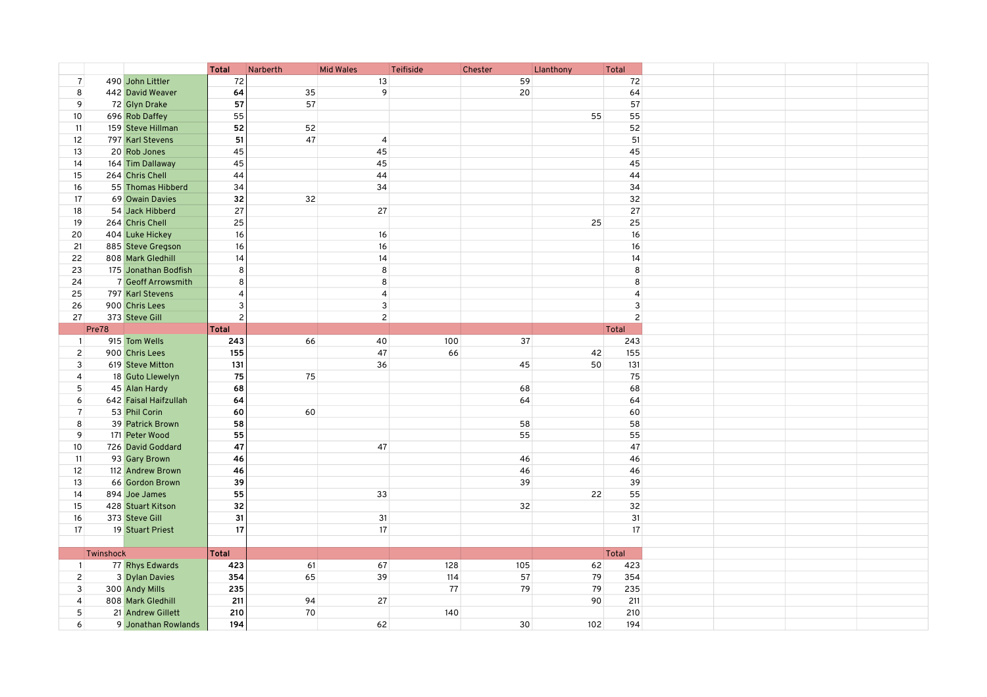|                   |           |                       | <b>Total</b>   | Narberth | <b>Mid Wales</b> | Teifiside | Chester | Llanthony | Total        |                |
|-------------------|-----------|-----------------------|----------------|----------|------------------|-----------|---------|-----------|--------------|----------------|
| $\overline{7}$    |           | 490 John Littler      | 72             |          | 13               |           | 59      |           |              | 72             |
| 8                 |           | 442 David Weaver      | 64             | 35       | 9                |           | 20      |           |              | 64             |
| 9                 |           | 72 Glyn Drake         | 57             | 57       |                  |           |         |           |              | 57             |
| 10                |           | 696 Rob Daffey        | 55             |          |                  |           |         | 55        |              | 55             |
| 11                |           | 159 Steve Hillman     | 52             | 52       |                  |           |         |           |              | 52             |
| 12                |           | 797 Karl Stevens      | 51             | 47       | $\overline{4}$   |           |         |           |              | 51             |
| 13                |           | 20 Rob Jones          | 45             |          | 45               |           |         |           |              | 45             |
| 14                |           | 164 Tim Dallaway      | 45             |          | 45               |           |         |           |              | 45             |
| 15                |           | 264 Chris Chell       | 44             |          | 44               |           |         |           |              | 44             |
| 16                |           | 55 Thomas Hibberd     | 34             |          | 34               |           |         |           |              | 34             |
| 17                |           | 69 Owain Davies       | 32             | 32       |                  |           |         |           |              | 32             |
| 18                |           | 54 Jack Hibberd       | 27             |          | 27               |           |         |           |              | 27             |
| 19                |           | 264 Chris Chell       | 25             |          |                  |           |         | 25        |              | 25             |
| 20                |           | 404 Luke Hickey       | 16             |          | 16               |           |         |           |              | 16             |
| 21                |           | 885 Steve Gregson     | 16             |          | 16               |           |         |           |              | 16             |
| 22                |           | 808 Mark Gledhill     | 14             |          | 14               |           |         |           |              | 14             |
| 23                |           | 175 Jonathan Bodfish  | 8              |          | 8                |           |         |           |              | 8              |
| 24                |           | 7 Geoff Arrowsmith    | 8              |          | 8                |           |         |           |              | 8              |
|                   |           |                       |                |          |                  |           |         |           |              |                |
| 25                |           | 797 Karl Stevens      |                |          | $\overline{4}$   |           |         |           |              | $\overline{4}$ |
| 26                |           | 900 Chris Lees        | 3              |          | $\mathsf 3$      |           |         |           |              | 3              |
| 27                |           | 373 Steve Gill        | $\overline{c}$ |          | $\overline{2}$   |           |         |           |              |                |
|                   | Pre78     |                       | Total          |          |                  |           |         |           | <b>Total</b> |                |
| $\mathbf{1}$      |           | 915 Tom Wells         | 243            | 66       | 40               | 100       | 37      |           |              | 243            |
| $\overline{c}$    |           | 900 Chris Lees        | 155            |          | 47               | 66        |         | 42        |              | 155            |
| 3                 |           | 619 Steve Mitton      | 131            |          | 36               |           | 45      | 50        |              | 131            |
| $\overline{4}$    |           | 18 Guto Llewelyn      | 75             | 75       |                  |           |         |           |              | 75             |
| 5                 |           | 45 Alan Hardy         | 68             |          |                  |           | 68      |           |              | 68             |
| 6                 |           | 642 Faisal Haifzullah | 64             |          |                  |           | 64      |           |              | 64             |
| $\overline{7}$    |           | 53 Phil Corin         | 60             | 60       |                  |           |         |           |              | 60             |
| 8                 |           | 39 Patrick Brown      | 58             |          |                  |           | 58      |           |              | 58             |
| 9                 |           | 171 Peter Wood        | 55             |          |                  |           | 55      |           |              | 55             |
| 10 <sup>°</sup>   |           | 726 David Goddard     | 47             |          | 47               |           |         |           |              | 47             |
| 11                |           | 93 Gary Brown         | 46             |          |                  |           | 46      |           |              | 46             |
| $12 \overline{ }$ |           | 112 Andrew Brown      | 46             |          |                  |           | 46      |           |              | 46             |
| 13                |           | 66 Gordon Brown       | 39             |          |                  |           | 39      |           |              | 39             |
| 14                |           | 894 Joe James         | 55             |          | 33               |           |         | 22        |              | 55             |
| 15                |           | 428 Stuart Kitson     | 32             |          |                  |           | 32      |           |              | 32             |
| 16                |           | 373 Steve Gill        | 31             |          | 31               |           |         |           |              | 31             |
| 17                |           | 19 Stuart Priest      | 17             |          | 17               |           |         |           |              | 17             |
|                   |           |                       |                |          |                  |           |         |           |              |                |
|                   | Twinshock |                       | Total          |          |                  |           |         |           | <b>Total</b> |                |
| $\mathbf{1}$      |           | 77 Rhys Edwards       | 423            | 61       | 67               | 128       | 105     | 62        |              | 423            |
|                   |           |                       |                |          |                  |           |         |           |              |                |
| $\overline{2}$    |           | 3 Dylan Davies        | 354            | 65       | 39               | 114       | 57      | 79        |              | 354            |
| 3                 |           | 300 Andy Mills        | 235            |          |                  | 77        | 79      | 79        |              | 235            |
| $\overline{4}$    |           | 808 Mark Gledhill     | 211            | 94       | 27               |           |         | 90        |              | 211            |
| 5                 |           | 21 Andrew Gillett     | 210            | 70       |                  | 140       |         |           |              | 210            |
| 6                 |           | 9 Jonathan Rowlands   | 194            |          | 62               |           | 30      | 102       |              | 194            |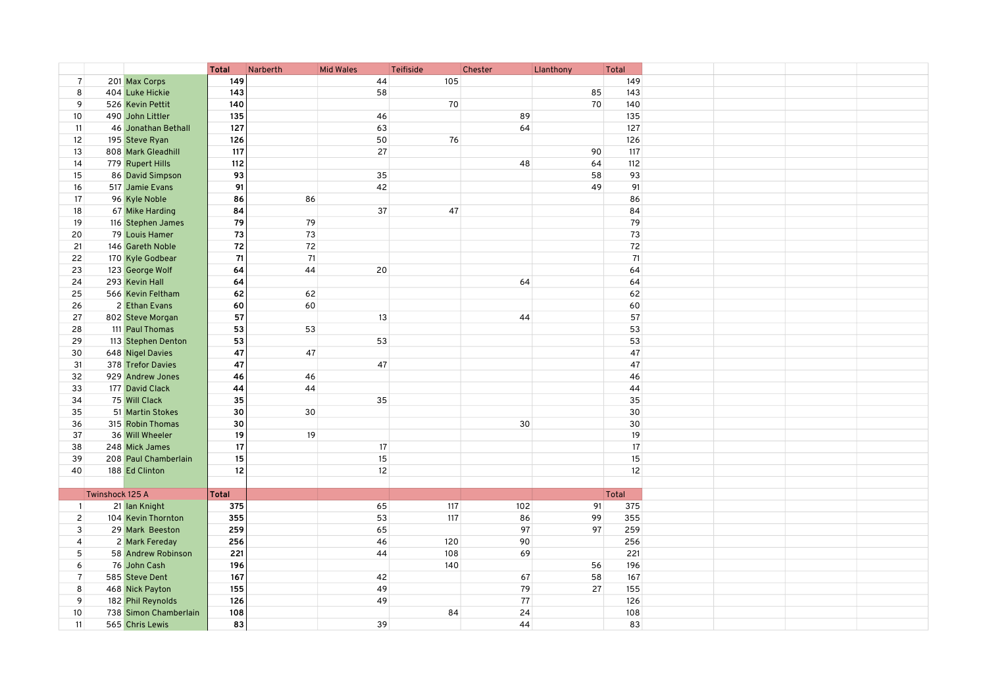|                |                 |                       | <b>Total</b> | Narberth | <b>Mid Wales</b>  | Teifiside | Chester | Llanthony |    | Total  |  |
|----------------|-----------------|-----------------------|--------------|----------|-------------------|-----------|---------|-----------|----|--------|--|
| $\overline{7}$ |                 | 201 Max Corps         | 149          |          | 44                | 105       |         |           |    | 149    |  |
| 8              |                 | 404 Luke Hickie       | 143          |          | 58                |           |         |           | 85 | 143    |  |
| 9              |                 | 526 Kevin Pettit      | 140          |          |                   | 70        |         |           | 70 | 140    |  |
| 10             |                 | 490 John Littler      | 135          |          | 46                |           | 89      |           |    | 135    |  |
| 11             |                 | 46 Jonathan Bethall   | 127          |          | 63                |           | 64      |           |    | 127    |  |
| 12             |                 | 195 Steve Ryan        | 126          |          | 50                | 76        |         |           |    | 126    |  |
| 13             |                 | 808 Mark Gleadhill    | 117          |          | 27                |           |         |           | 90 | 117    |  |
| 14             |                 | 779 Rupert Hills      | 112          |          |                   |           | 48      |           | 64 | 112    |  |
|                |                 |                       | 93           |          | 35                |           |         |           | 58 | 93     |  |
| 15             |                 | 86 David Simpson      |              |          |                   |           |         |           |    |        |  |
| 16             |                 | 517 Jamie Evans       | 91           |          | 42                |           |         |           | 49 | 91     |  |
| 17             |                 | 96 Kyle Noble         | 86           | 86       |                   |           |         |           |    | 86     |  |
| 18             |                 | 67 Mike Harding       | 84           |          | 37                | 47        |         |           |    | 84     |  |
| 19             |                 | 116 Stephen James     | 79           | 79       |                   |           |         |           |    | 79     |  |
| 20             |                 | 79 Louis Hamer        | 73           | 73       |                   |           |         |           |    | 73     |  |
| 21             |                 | 146 Gareth Noble      | ${\bf 72}$   | 72       |                   |           |         |           |    | $72\,$ |  |
| 22             |                 | 170 Kyle Godbear      | 71           | 71       |                   |           |         |           |    | 71     |  |
| 23             |                 | 123 George Wolf       | 64           | 44       | 20                |           |         |           |    | 64     |  |
| 24             |                 | 293 Kevin Hall        | 64           |          |                   |           | 64      |           |    | 64     |  |
| 25             |                 | 566 Kevin Feltham     | 62           | 62       |                   |           |         |           |    | 62     |  |
| 26             |                 | 2 Ethan Evans         | 60           | 60       |                   |           |         |           |    | 60     |  |
| 27             |                 |                       | 57           |          | 13                |           | 44      |           |    | 57     |  |
|                |                 | 802 Steve Morgan      |              |          |                   |           |         |           |    |        |  |
| 28             |                 | 111 Paul Thomas       | 53           | 53       |                   |           |         |           |    | 53     |  |
| 29             |                 | 113 Stephen Denton    | 53           |          | 53                |           |         |           |    | 53     |  |
| 30             |                 | 648 Nigel Davies      | 47           | 47       |                   |           |         |           |    | 47     |  |
| 31             |                 | 378 Trefor Davies     | 47           |          | 47                |           |         |           |    | 47     |  |
| 32             |                 | 929 Andrew Jones      | 46           | 46       |                   |           |         |           |    | 46     |  |
| 33             |                 | 177 David Clack       | 44           | 44       |                   |           |         |           |    | 44     |  |
| 34             |                 | 75 Will Clack         | 35           |          | 35                |           |         |           |    | 35     |  |
| 35             |                 | 51 Martin Stokes      | 30           | 30       |                   |           |         |           |    | 30     |  |
| 36             |                 | 315 Robin Thomas      | 30           |          |                   |           | 30      |           |    | 30     |  |
| 37             |                 | 36 Will Wheeler       | 19           | 19       |                   |           |         |           |    | 19     |  |
| 38             |                 | 248 Mick James        | 17           |          | 17                |           |         |           |    | 17     |  |
| 39             |                 | 208 Paul Chamberlain  | 15           |          | 15                |           |         |           |    | 15     |  |
| 40             |                 | 188 Ed Clinton        | 12           |          | $12 \overline{ }$ |           |         |           |    | 12     |  |
|                |                 |                       |              |          |                   |           |         |           |    |        |  |
|                |                 |                       |              |          |                   |           |         |           |    |        |  |
|                | Twinshock 125 A |                       | Total        |          |                   |           |         |           |    | Total  |  |
| $\overline{1}$ |                 | 21 Ian Knight         | 375          |          | 65                | 117       | 102     |           | 91 | 375    |  |
| 2 <sup>1</sup> |                 | 104 Kevin Thornton    | 355          |          | 53                | 117       | 86      |           | 99 | 355    |  |
| 3              |                 | 29 Mark Beeston       | 259          |          | 65                |           | 97      |           | 97 | 259    |  |
| $\overline{4}$ |                 | 2 Mark Fereday        | 256          |          | 46                | 120       | 90      |           |    | 256    |  |
| 5              |                 | 58 Andrew Robinson    | 221          |          | 44                | 108       | 69      |           |    | 221    |  |
| 6              |                 | 76 John Cash          | 196          |          |                   | 140       |         |           | 56 | 196    |  |
| $\overline{7}$ |                 | 585 Steve Dent        | 167          |          | 42                |           | 67      |           | 58 | 167    |  |
| 8              |                 | 468 Nick Payton       | 155          |          | 49                |           | 79      |           | 27 | 155    |  |
| 9              |                 | 182 Phil Reynolds     | 126          |          | 49                |           | 77      |           |    | 126    |  |
| 10             |                 | 738 Simon Chamberlain | 108          |          |                   | 84        | 24      |           |    | 108    |  |
| 11             |                 | 565 Chris Lewis       | 83           |          | 39                |           | 44      |           |    | 83     |  |
|                |                 |                       |              |          |                   |           |         |           |    |        |  |